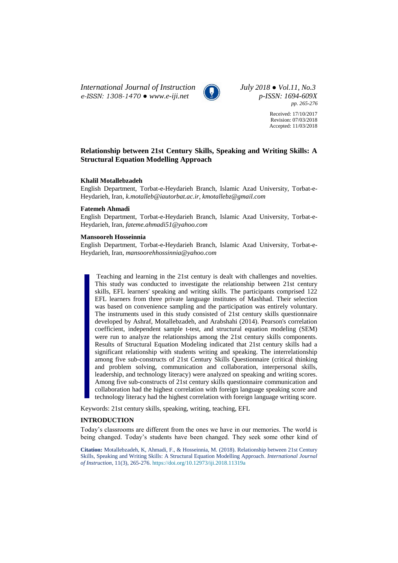*International Journal of Instruction July 2018 ● Vol.11, No.3 e-ISSN: 1308-1470 ● [www.e-iji.net](http://www.e-iji.net/) p-ISSN: 1694-609X*



*pp. 265-276*

Received: 17/10/2017 Revision: 07/03/2018 Accepted: 11/03/2018

# **Relationship between 21st Century Skills, Speaking and Writing Skills: A Structural Equation Modelling Approach**

### **Khalil Motallebzadeh**

English Department, Torbat-e-Heydarieh Branch, Islamic Azad University, Torbat-e-Heydarieh, Iran, *k.motalleb@iautorbat.ac.ir, kmotallebz@gmail.com*

#### **Fatemeh Ahmadi**

English Department, Torbat-e-Heydarieh Branch, Islamic Azad University, Torbat-e-Heydarieh, Iran, *fateme.ahmadi51@yahoo.com*

### **Mansooreh Hosseinnia**

English Department, Torbat-e-Heydarieh Branch, Islamic Azad University, Torbat-e-Heydarieh, Iran, *mansoorehhossinnia@yahoo.com*

Teaching and learning in the 21st century is dealt with challenges and novelties. This study was conducted to investigate the relationship between 21st century skills, EFL learners' speaking and writing skills. The participants comprised 122 EFL learners from three private language institutes of Mashhad. Their selection was based on convenience sampling and the participation was entirely voluntary. The instruments used in this study consisted of 21st century skills questionnaire developed by Ashraf, Motallebzadeh, and Arabshahi (2014). Pearson's correlation coefficient, independent sample t-test, and structural equation modeling (SEM) were run to analyze the relationships among the 21st century skills components. Results of Structural Equation Modeling indicated that 21st century skills had a significant relationship with students writing and speaking. The interrelationship among five sub-constructs of 21st Century Skills Questionnaire (critical thinking and problem solving, communication and collaboration, interpersonal skills, leadership, and technology literacy) were analyzed on speaking and writing scores. Among five sub-constructs of 21st century skills questionnaire communication and collaboration had the highest correlation with foreign language speaking score and technology literacy had the highest correlation with foreign language writing score.

Keywords: 21st century skills, speaking, writing, teaching, EFL

### **INTRODUCTION**

Today's classrooms are different from the ones we have in our memories. The world is being changed. Today's students have been changed. They seek some other kind of

**Citation:** Motallebzadeh, K, Ahmadi, F., & Hosseinnia, M. (2018). Relationship between 21st Century Skills, Speaking and Writing Skills: A Structural Equation Modelling Approach. *International Journal of Instruction*, 11(3), 265-276. <https://doi.org/10.12973/iji.2018.11319a>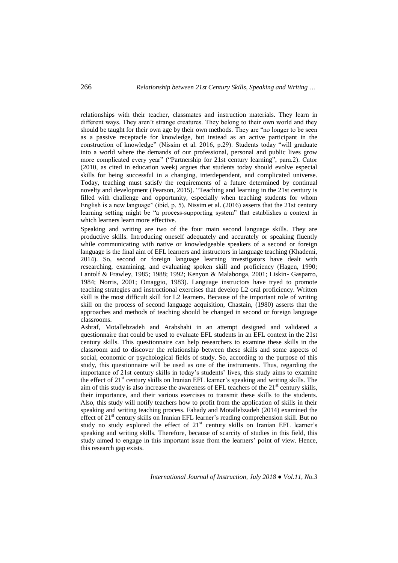relationships with their teacher, classmates and instruction materials. They learn in different ways. They aren't strange creatures. They belong to their own world and they should be taught for their own age by their own methods. They are "no longer to be seen as a passive receptacle for knowledge, but instead as an active participant in the construction of knowledge" (Nissim et al. 2016, p.29). Students today "will graduate into a world where the demands of our professional, personal and public lives grow more complicated every year" ("Partnership for 21st century learning", para.2). Cator (2010, as cited in education week) argues that students today should evolve especial skills for being successful in a changing, interdependent, and complicated universe. Today, teaching must satisfy the requirements of a future determined by continual novelty and development (Pearson, 2015). "Teaching and learning in the 21st century is filled with challenge and opportunity, especially when teaching students for whom English is a new language" (ibid, p. 5). Nissim et al. (2016) asserts that the 21st century learning setting might be "a process-supporting system" that establishes a context in which learners learn more effective.

Speaking and writing are two of the four main second language skills. They are productive skills. Introducing oneself adequately and accurately or speaking fluently while communicating with native or knowledgeable speakers of a second or foreign language is the final aim of EFL learners and instructors in language teaching (Khademi, 2014). So, second or foreign language learning investigators have dealt with researching, examining, and evaluating spoken skill and proficiency (Hagen, 1990; Lantolf & Frawley, 1985; 1988; 1992; Kenyon & Malabonga, 2001; Liskin- Gasparro, 1984; Norris, 2001; Omaggio, 1983). Language instructors have tryed to promote teaching strategies and instructional exercises that develop L2 oral proficiency. Written skill is the most difficult skill for L2 learners. Because of the important role of writing skill on the process of second language acquisition, Chastain, (1980) asserts that the approaches and methods of teaching should be changed in second or foreign language classrooms.

Ashraf, Motallebzadeh and Arabshahi in an attempt designed and validated a questionnaire that could be used to evaluate EFL students in an EFL context in the 21st century skills. This questionnaire can help researchers to examine these skills in the classroom and to discover the relationship between these skills and some aspects of social, economic or psychological fields of study. So, according to the purpose of this study, this questionnaire will be used as one of the instruments. Thus, regarding the importance of 21st century skills in today's students' lives, this study aims to examine the effect of 21<sup>st</sup> century skills on Iranian EFL learner's speaking and writing skills. The aim of this study is also increase the awareness of EFL teachers of the  $21<sup>st</sup>$  century skills, their importance, and their various exercises to transmit these skills to the students. Also, this study will notify teachers how to profit from the application of skills in their speaking and writing teaching process. Fahady and Motallebzadeh (2014) examined the effect of  $21<sup>st</sup>$  century skills on Iranian EFL learner's reading comprehension skill. But no study no study explored the effect of 21<sup>st</sup> century skills on Iranian EFL learner's speaking and writing skills. Therefore, because of scarcity of studies in this field, this study aimed to engage in this important issue from the learners' point of view. Hence, this research gap exists.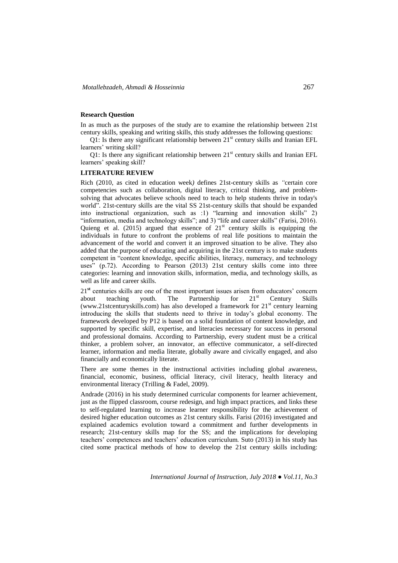## **Research Question**

In as much as the purposes of the study are to examine the relationship between 21st century skills, speaking and writing skills, this study addresses the following questions:

Q1: Is there any significant relationship between 21<sup>st</sup> century skills and Iranian EFL learners' writing skill?

Q1: Is there any significant relationship between  $21<sup>st</sup>$  century skills and Iranian EFL learners' speaking skill?

### **LITERATURE REVIEW**

Rich (2010, as cited in education week*)* defines 21st-century skills as *"*certain core competencies such as collaboration, digital literacy, critical thinking, and problemsolving that advocates believe schools need to teach to help students thrive in today's world"*.* 21st-century skills are the vital SS 21st-century skills that should be expanded into instructional organization, such as :1) "learning and innovation skills" 2) "information, media and technology skills"; and 3) "life and career skills" (Farisi, 2016). Quieng et al. (2015) argued that essence of  $21<sup>st</sup>$  century skills is equipping the individuals in future to confront the problems of real life positions to maintain the advancement of the world and convert it an improved situation to be alive. They also added that the purpose of educating and acquiring in the 21st century is to make students competent in "content knowledge, specific abilities, literacy, numeracy, and technology uses" (p.72). According to Pearson (2013) 21st century skills come into three categories: learning and innovation skills, information, media, and technology skills, as well as life and career skills.

21**st** centuries skills are one of the most important issues arisen from educators' concern about teaching youth. The Partnership for  $21^{st}$  Century Skills [\(www.21stcenturyskills.com\)](http://www.21stcenturyskills.com/) has also developed a framework for  $21<sup>st</sup>$  century learning introducing the skills that students need to thrive in today's global economy. The framework developed by P12 is based on a solid foundation of content knowledge, and supported by specific skill, expertise, and literacies necessary for success in personal and professional domains. According to Partnership, every student must be a critical thinker, a problem solver, an innovator, an effective communicator, a self-directed learner, information and media literate, globally aware and civically engaged, and also financially and economically literate.

There are some themes in the instructional activities including global awareness, financial, economic, business, official literacy, civil literacy, health literacy and environmental literacy (Trilling & Fadel, 2009).

Andrade (2016) in his study determined curricular components for learner achievement, just as the flipped classroom, course redesign, and high impact practices, and links these to self-regulated learning to increase learner responsibility for the achievement of desired higher education outcomes as 21st century skills. Farisi (2016) investigated and explained academics evolution toward a commitment and further developments in research; 21st-century skills map for the SS; and the implications for developing teachers' competences and teachers' education curriculum. Suto (2013) in his study has cited some practical methods of how to develop the 21st century skills including: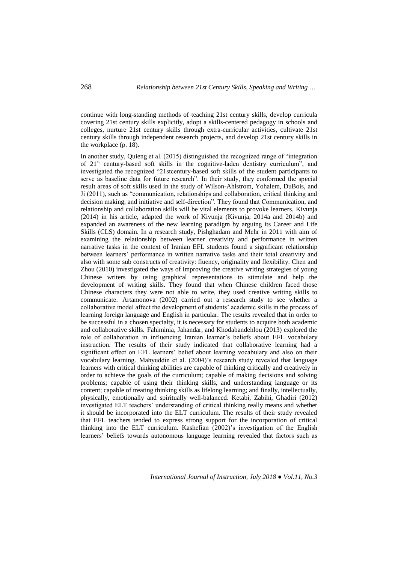continue with long-standing methods of teaching 21st century skills, develop curricula covering 21st century skills explicitly, adopt a skills-centered pedagogy in schools and colleges, nurture 21st century skills through extra-curricular activities, cultivate 21st century skills through independent research projects, and develop 21st century skills in the workplace (p. 18).

In another study, Quieng et al. (2015) distinguished the recognized range of "integration of 21st century-based soft skills in the cognitive-laden dentistry curriculum", and investigated the recognized "21stcentury-based soft skills of the student participants to serve as baseline data for future research". In their study, they conformed the special result areas of soft skills used in the study of Wilson-Ahlstrom, Yohalem, DuBois, and Ji (2011), such as "communication, relationships and collaboration, critical thinking and decision making, and initiative and self-direction". They found that Communication, and relationship and collaboration skills will be vital elements to provoke learners. Kivunja (2014) in his article, adapted the work of Kivunja (Kivunja, 2014a and 2014b) and expanded an awareness of the new learning paradigm by arguing its Career and Life Skills (CLS) domain. In a research study, Pishghadam and Mehr in 2011 with aim of examining the relationship between learner creativity and performance in written narrative tasks in the context of Iranian EFL students found a significant relationship between learners' performance in written narrative tasks and their total creativity and also with some sub constructs of creativity: fluency, originality and flexibility. Chen and Zhou (2010) investigated the ways of improving the creative writing strategies of young Chinese writers by using graphical representations to stimulate and help the development of writing skills. They found that when Chinese children faced those Chinese characters they were not able to write, they used creative writing skills to communicate. Artamonova (2002) carried out a research study to see whether a collaborative model affect the development of students' academic skills in the process of learning foreign language and English in particular. The results revealed that in order to be successful in a chosen specialty, it is necessary for students to acquire both academic and collaborative skills. Fahiminia, Jahandar, and Khodabandehlou (2013) explored the role of collaboration in influencing Iranian learner's beliefs about EFL vocabulary instruction. The results of their study indicated that collaborative learning had a significant effect on EFL learners' belief about learning vocabulary and also on their vocabulary learning. Mahyuddin et al. (2004)'s research study revealed that language learners with critical thinking abilities are capable of thinking critically and creatively in order to achieve the goals of the curriculum; capable of making decisions and solving problems; capable of using their thinking skills, and understanding language or its content; capable of treating thinking skills as lifelong learning; and finally, intellectually, physically, emotionally and spiritually well-balanced. Ketabi, Zabihi, Ghadiri (2012) investigated ELT teachers' understanding of critical thinking really means and whether it should be incorporated into the ELT curriculum. The results of their study revealed that EFL teachers tended to express strong support for the incorporation of critical thinking into the ELT curriculum. Kashefian (2002)'s investigation of the English learners' beliefs towards autonomous language learning revealed that factors such as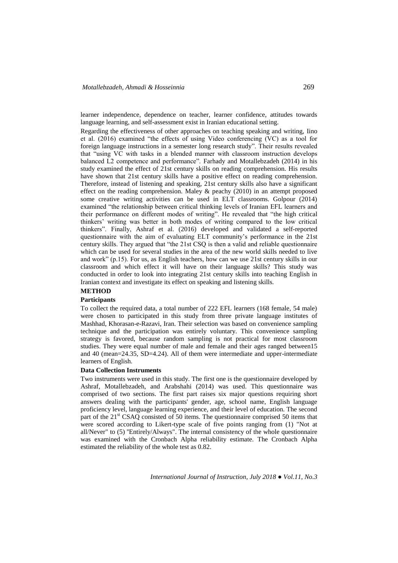learner independence, dependence on teacher, learner confidence, attitudes towards language learning, and self-assessment exist in Iranian educational setting.

Regarding the effectiveness of other approaches on teaching speaking and writing, Iino et al. (2016) examined "the effects of using Video conferencing (VC) as a tool for foreign language instructions in a semester long research study". Their results revealed that "using VC with tasks in a blended manner with classroom instruction develops balanced L2 competence and performance". Farhady and Motallebzadeh (2014) in his study examined the effect of 21st century skills on reading comprehension. His results have shown that 21st century skills have a positive effect on reading comprehension. Therefore, instead of listening and speaking, 21st century skills also have a significant effect on the reading comprehension. Maley  $\&$  peachy (2010) in an attempt proposed some creative writing activities can be used in ELT classrooms. Golpour (2014) examined "the relationship between critical thinking levels of Iranian EFL learners and their performance on different modes of writing". He revealed that "the high critical thinkers' writing was better in both modes of writing compared to the low critical thinkers". Finally, Ashraf et al. (2016) developed and validated a self-reported questionnaire with the aim of evaluating ELT community's performance in the 21st century skills. They argued that "the 21st CSQ is then a valid and reliable questionnaire which can be used for several studies in the area of the new world skills needed to live and work" (p.15). For us, as English teachers, how can we use 21st century skills in our classroom and which effect it will have on their language skills? This study was conducted in order to look into integrating 21st century skills into teaching English in Iranian context and investigate its effect on speaking and listening skills.

# **METHOD**

## **Participants**

To collect the required data, a total number of 222 EFL learners (168 female, 54 male) were chosen to participated in this study from three private language institutes of Mashhad, Khorasan-e-Razavi, Iran. Their selection was based on convenience sampling technique and the participation was entirely voluntary. This convenience sampling strategy is favored, because random sampling is not practical for most classroom studies. They were equal number of male and female and their ages ranged between15 and 40 (mean=24.35, SD=4.24). All of them were intermediate and upper-intermediate learners of English.

### **Data Collection Instruments**

Two instruments were used in this study. The first one is the questionnaire developed by Ashraf, Motallebzadeh, and Arabshahi (2014) was used. This questionnaire was comprised of two sections. The first part raises six major questions requiring short answers dealing with the participants' gender, age, school name, English language proficiency level, language learning experience, and their level of education. The second part of the 21<sup>st</sup> CSAQ consisted of 50 items. The questionnaire comprised 50 items that were scored according to Likert-type scale of five points ranging from (1) "Not at all/Never" to (5) "Entirely/Always". The internal consistency of the whole questionnaire was examined with the Cronbach Alpha reliability estimate. The Cronbach Alpha estimated the reliability of the whole test as 0.82.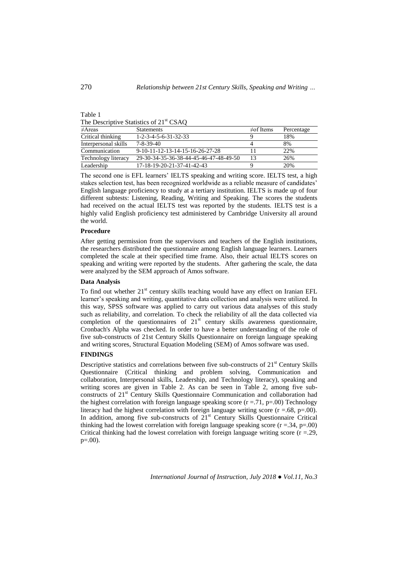| -ID. |  |
|------|--|
|------|--|

The Descriptive Statistics of 21<sup>st</sup> CSAO

| $\neq$ Areas         | <b>Statements</b>                      | $\neq$ of Items | Percentage |
|----------------------|----------------------------------------|-----------------|------------|
| Critical thinking    | $1 - 2 - 3 - 4 - 5 - 6 - 31 - 32 - 33$ |                 | 18%        |
| Interpersonal skills | $7 - 8 - 39 - 40$                      |                 | 8%         |
| Communication        | $9-10-11-12-13-14-15-16-26-27-28$      |                 | 22%        |
| Technology literacy  | 29-30-34-35-36-38-44-45-46-47-48-49-50 | 13              | 26%        |
| Leadership           | 17-18-19-20-21-37-41-42-43             |                 | 20%        |

The second one is EFL learners' IELTS speaking and writing score. IELTS test, a high stakes selection test, has been recognized worldwide as a reliable measure of candidates' English language proficiency to study at a tertiary institution. IELTS is made up of four different subtests: Listening, Reading, Writing and Speaking. The scores the students had received on the actual IELTS test was reported by the students. IELTS test is a highly valid English proficiency test administered by Cambridge University all around the world.

## **Procedure**

After getting permission from the supervisors and teachers of the English institutions, the researchers distributed the questionnaire among English language learners. Learners completed the scale at their specified time frame. Also, their actual IELTS scores on speaking and writing were reported by the students. After gathering the scale, the data were analyzed by the SEM approach of Amos software.

## **Data Analysis**

To find out whether  $21^{st}$  century skills teaching would have any effect on Iranian EFL learner's speaking and writing, quantitative data collection and analysis were utilized. In this way, SPSS software was applied to carry out various data analyses of this study such as reliability, and correlation. To check the reliability of all the data collected via completion of the questionnaires of  $21<sup>st</sup>$  century skills awareness questionnaire, Cronbach's Alpha was checked. In order to have a better understanding of the role of five sub-constructs of 21st Century Skills Questionnaire on foreign language speaking and writing scores, Structural Equation Modeling (SEM) of Amos software was used.

### **FINDINGS**

Descriptive statistics and correlations between five sub-constructs of  $21<sup>st</sup>$  Century Skills Questionnaire (Critical thinking and problem solving, Communication and collaboration, Interpersonal skills, Leadership, and Technology literacy), speaking and writing scores are given in Table 2. As can be seen in Table 2, among five subconstructs of 21<sup>st</sup> Century Skills Questionnaire Communication and collaboration had the highest correlation with foreign language speaking score  $(r = .71, p = .00)$  Technology literacy had the highest correlation with foreign language writing score  $(r = .68, p = .00)$ . In addition, among five sub-constructs of  $21<sup>st</sup>$  Century Skills Questionnaire Critical thinking had the lowest correlation with foreign language speaking score  $(r = .34, p = .00)$ Critical thinking had the lowest correlation with foreign language writing score  $(r = 29)$ ,  $p=.00$ ).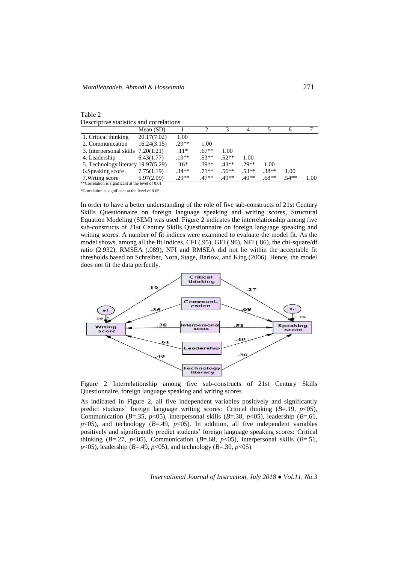| Table 2                                 |  |
|-----------------------------------------|--|
| Descriptive statistics and correlations |  |

|                                                   | Mean $(SD)$ |         |         |         |         |         | <sub>(</sub> |      |
|---------------------------------------------------|-------------|---------|---------|---------|---------|---------|--------------|------|
| 1. Critical thinking                              | 20.17(7.02) | 1.00    |         |         |         |         |              |      |
| 2. Communication                                  | 16.24(3.15) | $.29**$ | 1.00    |         |         |         |              |      |
| 3. Interpersonal skills $7.20(1.21)$              |             | $.11*$  | $.67**$ | 1.00    |         |         |              |      |
| 4. Leadership                                     | 6.43(1.77)  | $.19**$ | $.53**$ | $.52**$ | 1.00    |         |              |      |
| 5. Technology literacy 19.97(5.29)                |             | $.16*$  | $39**$  | $.43**$ | $.29**$ | 1.00    |              |      |
| 6. Speaking score                                 | 7.75(1.19)  | $.34**$ | $71**$  | $.56**$ | $.53**$ | $.38**$ | 1.00         |      |
| 7. Wrting score                                   | 5.97(2.09)  | $.29**$ | $.47**$ | 49**    | $.40**$ | $.68**$ | $.54**$      | 1.00 |
| **Correlation is significant at the level of 0.01 |             |         |         |         |         |         |              |      |

\*Correlation is significant at the level of 0.05

In order to have a better understanding of the role of five sub-constructs of 21st Century Skills Questionnaire on foreign language speaking and writing scores, Structural Equation Modeling (SEM) was used. Figure 2 indicates the interrelationship among five sub-constructs of 21st Century Skills Questionnaire on foreign language speaking and writing scores. A number of fit indices were examined to evaluate the model fit. As the model shows, among all the fit indices, CFI (.95), GFI (.90), NFI (.86), the chi-square/df ratio (2.932), RMSEA (.089), NFI and RMSEA did not lie within the acceptable fit thresholds based on Schreiber, Nora, Stage, Barlow, and King (2006). Hence, the model does not fit the data perfectly.



Figure 2 Interrelationship among five sub-constructs of 21st Century Skills Questionnaire, foreign language speaking and writing scores

As indicated in Figure 2, all five independent variables positively and significantly predict students' foreign language writing scores: Critical thinking (*B*=.19, *p*<05), Communication ( $B=.35$ ,  $p<05$ ), interpersonal skills ( $B=.38$ ,  $p<05$ ), leadership ( $B=.61$ ,  $p$ <05), and technology (*B*=.49,  $p$ <05). In addition, all five independent variables positively and significantly predict students' foreign language speaking scores: Critical thinking (*B*=.27, *p*<05), Communication (*B*=.68, *p*<05), interpersonal skills (*B*=.51, *p*<05), leadership (*B*=.49, *p*<05), and technology (*B*=.30, *p*<05).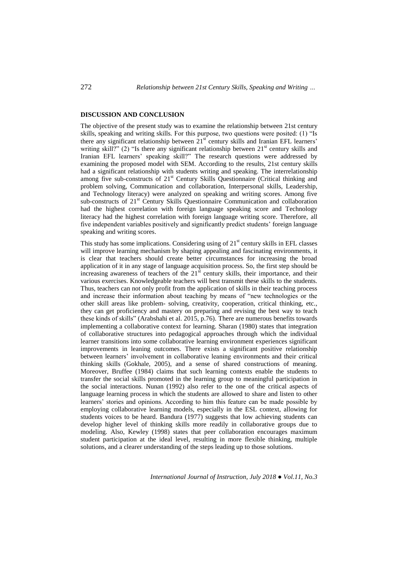### **DISCUSSION AND CONCLUSION**

The objective of the present study was to examine the relationship between 21st century skills, speaking and writing skills. For this purpose, two questions were posited: (1) "Is there any significant relationship between  $21<sup>st</sup>$  century skills and Iranian EFL learners' writing skill?" (2) "Is there any significant relationship between  $21<sup>st</sup>$  century skills and Iranian EFL learners' speaking skill?" The research questions were addressed by examining the proposed model with SEM. According to the results, 21st century skills had a significant relationship with students writing and speaking. The interrelationship among five sub-constructs of 21<sup>st</sup> Century Skills Questionnaire (Critical thinking and problem solving, Communication and collaboration, Interpersonal skills, Leadership, and Technology literacy) were analyzed on speaking and writing scores. Among five sub-constructs of 21<sup>st</sup> Century Skills Questionnaire Communication and collaboration had the highest correlation with foreign language speaking score and Technology literacy had the highest correlation with foreign language writing score. Therefore, all five independent variables positively and significantly predict students' foreign language speaking and writing scores.

This study has some implications. Considering using of  $21<sup>st</sup>$  century skills in EFL classes will improve learning mechanism by shaping appealing and fascinating environments, it is clear that teachers should create better circumstances for increasing the broad application of it in any stage of language acquisition process. So, the first step should be increasing awareness of teachers of the  $21<sup>st</sup>$  century skills, their importance, and their various exercises. Knowledgeable teachers will best transmit these skills to the students. Thus, teachers can not only profit from the application of skills in their teaching process and increase their information about teaching by means of "new technologies or the other skill areas like problem- solving, creativity, cooperation, critical thinking, etc., they can get proficiency and mastery on preparing and revising the best way to teach these kinds of skills" (Arabshahi et al. 2015, p.76). There are numerous benefits towards implementing a collaborative context for learning. Sharan (1980) states that integration of collaborative structures into pedagogical approaches through which the individual learner transitions into some collaborative learning environment experiences significant improvements in leaning outcomes. There exists a significant positive relationship between learners' involvement in collaborative leaning environments and their critical thinking skills (Gokhale, 2005), and a sense of shared constructions of meaning. Moreover, Bruffee (1984) claims that such learning contexts enable the students to transfer the social skills promoted in the learning group to meaningful participation in the social interactions. Nunan (1992) also refer to the one of the critical aspects of language learning process in which the students are allowed to share and listen to other learners' stories and opinions. According to him this feature can be made possible by employing collaborative learning models, especially in the ESL context, allowing for students voices to be heard. Bandura (1977) suggests that low achieving students can develop higher level of thinking skills more readily in collaborative groups due to modeling. Also, Kewley (1998) states that peer collaboration encourages maximum student participation at the ideal level, resulting in more flexible thinking, multiple solutions, and a clearer understanding of the steps leading up to those solutions.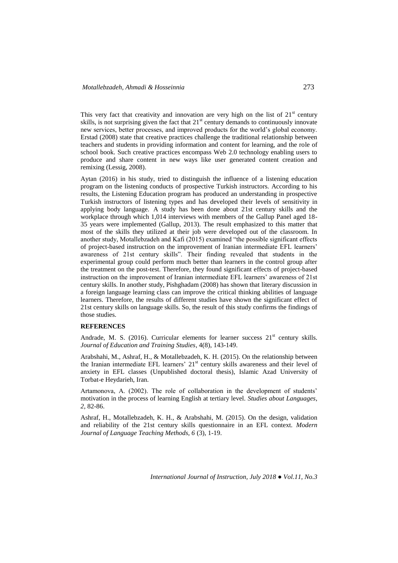This very fact that creativity and innovation are very high on the list of  $21<sup>st</sup>$  century skills, is not surprising given the fact that  $21<sup>st</sup>$  century demands to continuously innovate new services, better processes, and improved products for the world's global economy. Erstad (2008) state that creative practices challenge the traditional relationship between teachers and students in providing information and content for learning, and the role of school book. Such creative practices encompass Web 2.0 technology enabling users to produce and share content in new ways like user generated content creation and remixing (Lessig, 2008).

Aytan (2016) in his study, tried to distinguish the influence of a listening education program on the listening conducts of prospective Turkish instructors. According to his results, the Listening Education program has produced an understanding in prospective Turkish instructors of listening types and has developed their levels of sensitivity in applying body language. A study has been done about 21st century skills and the workplace through which 1,014 interviews with members of the Gallup Panel aged 18- 35 years were implemented (Gallup, 2013). The result emphasized to this matter that most of the skills they utilized at their job were developed out of the classroom. In another study, Motallebzadeh and Kafi (2015) examined "the possible significant effects of project-based instruction on the improvement of Iranian intermediate EFL learners' awareness of 21st century skills". Their finding revealed that students in the experimental group could perform much better than learners in the control group after the treatment on the post-test. Therefore, they found significant effects of project-based instruction on the improvement of Iranian intermediate EFL learners' awareness of 21st century skills. In another study, Pishghadam (2008) has shown that literary discussion in a foreign language learning class can improve the critical thinking abilities of language learners. Therefore, the results of different studies have shown the significant effect of 21st century skills on language skills. So, the result of this study confirms the findings of those studies.

#### **REFERENCES**

Andrade, M. S. (2016). Curricular elements for learner success  $21<sup>st</sup>$  century skills. *Journal of Education and Training Studies*, 4(8), 143-149.

Arabshahi, M., Ashraf, H., & Motallebzadeh, K. H. (2015). On the relationship between the Iranian intermediate EFL learners' 21<sup>st</sup> century skills awareness and their level of anxiety in EFL classes (Unpublished doctoral thesis), Islamic Azad University of Torbat-e Heydarieh, Iran.

Artamonova, A. (2002). The role of collaboration in the development of students' motivation in the process of learning English at tertiary level. *Studies about Languages*, *2*, 82-86.

Ashraf, H., Motallebzadeh, K. H., & Arabshahi, M. (2015). On the design, validation and reliability of the 21st century skills questionnaire in an EFL context. *Modern Journal of Language Teaching Methods, 6* (3), 1-19.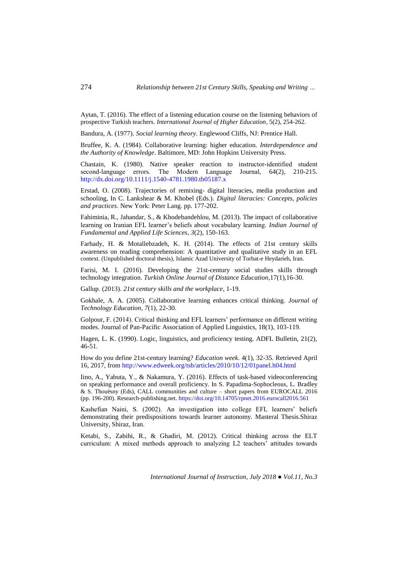Aytan, T. (2016). The effect of a listening education course on the listening behaviors of prospective Turkish teachers. *International Journal of Higher Education*, 5(2), 254-262.

Bandura, A. (1977). *Social learning theory*. Englewood Cliffs, NJ: Prentice Hall.

Bruffee, K. A. (1984). Collaborative learning: higher education. *Interdependence and the Authority of Knowledge*. Baltimore, MD: John Hopkins University Press.

Chastain, K. (1980). Native speaker reaction to instructor‐identified student second-language errors. The Modern Language Journal, 64(2), 210-215. <http://dx.doi.org/10.1111/j.1540-4781.1980.tb05187.x>

Erstad, O. (2008). Trajectories of remixing- digital literacies, media production and schooling, In C. Lankshear & M. Khobel (Eds.). *Digital literacies: Concepts, policies and practices*. New York: Peter Lang. pp. 177-202.

Fahiminia, R., Jahandar, S., & Khodebandehlou, M. (2013). The impact of collaborative learning on Iranian EFL learner's beliefs about vocabulary learning. *Indian Journal of Fundamental and Applied Life Sciences*, *3*(2), 150-163.

Farhady, H. & Motallebzadeh, K. H. (2014). The effects of 21st century skills awareness on reading comprehension: A quantitative and qualitative study in an EFL context. (Unpublished doctoral thesis), Islamic Azad University of Torbat-e Heydarieh, Iran.

Farisi, M. I. (2016). Developing the 21st-century social studies skills through technology integration. *Turkish Online Journal of Distance Education*,17(1),16-30.

Gallup. (2013). *21st century skills and the workplace*, 1-19.

Gokhale, A. A. (2005). Collaborative learning enhances critical thinking. *Journal of Technology Education*, *7*(1), 22-30.

Golpour, F. (2014). Critical thinking and EFL learners' performance on different writing modes. Journal of Pan-Pacific Association of Applied Linguistics, 18(1), 103-119.

Hagen, L. K. (1990). Logic, linguistics, and proficiency testing. ADFL Bulletin, 21(2), 46-51.

How do you define 21st-century learning? *Education week*. 4(1), 32-35. Retrieved April 16, 2017, fro[m http://www.edweek.org/tsb/articles/2010/10/12/01panel.h04.html](http://www.edweek.org/tsb/articles/2010/10/12/01panel.h04.html)

Iino, A., Yabuta, Y., & Nakamura, Y. (2016). Effects of task-based videoconferencing on speaking performance and overall proficiency. In S. Papadima-Sophocleous, L. Bradley & S. Thouësny (Eds), CALL communities and culture – short papers from EUROCALL 2016 (pp. 196-200). Research-publishing.net.<https://doi.org/10.14705/rpnet.2016.eurocall2016.561>

Kashefian Naini, S. (2002). An investigation into college EFL learners' beliefs demonstrating their predispositions towards learner autonomy. Masteral Thesis.Shiraz University, Shiraz, Iran.

Ketabi, S., Zabihi, R., & Ghadiri, M. (2012). Critical thinking across the ELT curriculum: A mixed methods approach to analyzing L2 teachers' attitudes towards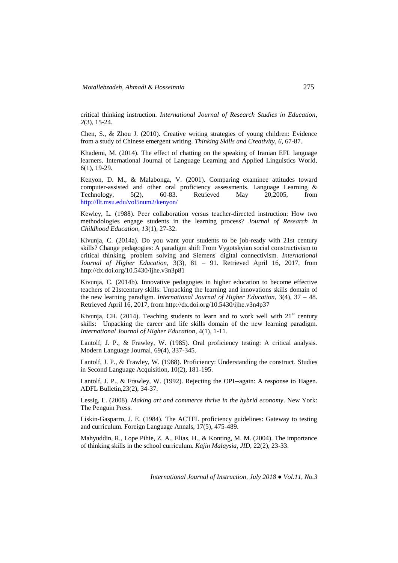critical thinking instruction. *International Journal of Research Studies in Education*, *2*(3), 15-24.

Chen, S., & Zhou J. (2010). Creative writing strategies of young children: Evidence from a study of Chinese emergent writing. *Thinking Skills and Creativity*, *6*, 67-87.

Khademi, M. (2014). The effect of chatting on the speaking of Iranian EFL language learners. International Journal of Language Learning and Applied Linguistics World, 6(1), 19-29.

Kenyon, D. M., & Malabonga, V. (2001). Comparing examinee attitudes toward computer-assisted and other oral proficiency assessments. Language Learning & Technology, 5(2), 60-83. Retrieved May 20,2005, from <http://llt.msu.edu/vol5num2/kenyon/>

Kewley, L. (1988). Peer collaboration versus teacher-directed instruction: How two methodologies engage students in the learning process? *Journal of Research in Childhood Education*, *13*(1), 27-32.

Kivunja, C. (2014a). Do you want your students to be job-ready with 21st century skills? Change pedagogies: A paradigm shift From Vygotskyian social constructivism to critical thinking, problem solving and Siemens' digital connectivism. *International Journal of Higher Education*, 3(3), 81 – 91. Retrieved April 16, 2017, from http://dx.doi.org/10.5430/ijhe.v3n3p81

Kivunja, C. (2014b). Innovative pedagogies in higher education to become effective teachers of 21stcentury skills: Unpacking the learning and innovations skills domain of the new learning paradigm. *International Journal of Higher Education*, 3(4), 37 – 48. Retrieved April 16, 2017, from http://dx.doi.org/10.5430/ijhe.v3n4p37

Kivunja, CH. (2014). Teaching students to learn and to work well with  $21<sup>st</sup>$  century skills: Unpacking the career and life skills domain of the new learning paradigm. *International Journal of Higher Education*, 4(1), 1-11.

Lantolf, J. P., & Frawley, W. (1985). Oral proficiency testing: A critical analysis. Modern Language Journal, 69(4), 337-345.

Lantolf, J. P., & Frawley, W. (1988). Proficiency: Understanding the construct. Studies in Second Language Acquisition, 10(2), 181-195.

Lantolf, J. P., & Frawley, W. (1992). Rejecting the OPI--again: A response to Hagen. ADFL Bulletin,23(2), 34-37.

Lessig, L. (2008). *Making art and commerce thrive in the hybrid economy*. New York: The Penguin Press.

Liskin-Gasparro, J. E. (1984). The ACTFL proficiency guidelines: Gateway to testing and curriculum. Foreign Language Annals, 17(5), 475-489.

Mahyuddin, R., Lope Pihie, Z. A., Elias, H., & Konting, M. M. (2004). The importance of thinking skills in the school curriculum. *Kajin Malaysia*, *JID*, 22(2), 23-33.